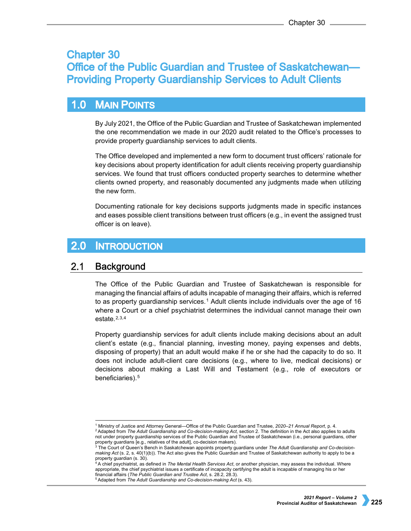# **Chapter 30 Office of the Public Guardian and Trustee of Saskatchewan-Providing Property Guardianship Services to Adult Clients**

### $1.0$ **MAIN POINTS**

By July 2021, the Office of the Public Guardian and Trustee of Saskatchewan implemented the one recommendation we made in our 2020 audit related to the Office's processes to provide property guardianship services to adult clients.

The Office developed and implemented a new form to document trust officers' rationale for key decisions about property identification for adult clients receiving property guardianship services. We found that trust officers conducted property searches to determine whether clients owned property, and reasonably documented any judgments made when utilizing the new form.

Documenting rationale for key decisions supports judgments made in specific instances and eases possible client transitions between trust officers (e.g., in event the assigned trust officer is on leave).

#### $2.0$ **INTRODUCTION**

### $2.1$ **Background**

The Office of the Public Guardian and Trustee of Saskatchewan is responsible for managing the financial affairs of adults incapable of managing their affairs, which is referred to as property guardianship services.<sup>[1](#page-0-0)</sup> Adult clients include individuals over the age of 16 where a Court or a chief psychiatrist determines the individual cannot manage their own estate $2,3,4$  $2,3,4$  $2,3,4$  $2,3,4$  $2,3,4$ 

Property guardianship services for adult clients include making decisions about an adult client's estate (e.g., financial planning, investing money, paying expenses and debts, disposing of property) that an adult would make if he or she had the capacity to do so. It does not include adult-client care decisions (e.g., where to live, medical decisions) or decisions about making a Last Will and Testament (e.g., role of executors or beneficiaries).<sup>[5](#page-0-4)</sup>

<span id="page-0-2"></span><span id="page-0-1"></span><span id="page-0-0"></span><sup>2</sup> Adapted from *The Adult Guardianship and Co-decision-making Act*, section 2. The definition in the Act also applies to adults not under property guardianship services of the Public Guardian and Trustee of Saskatchewan (i.e., personal guardians, other

<span id="page-0-4"></span><sup>5</sup> Adapted from *The Adult Guardianship and Co-decision-making Act* (s. 43).

 <sup>1</sup> Ministry of Justice and Attorney General—Office of the Public Guardian and Trustee, *2020–21 Annual Report*, p. 4.

property guardians [e.g., relatives of the adult], co-decision makers).<br><sup>3</sup> The Court of Queen's Bench in Saskatchewan appoints property guardians under *The Adult Guardianship and Co-decisionmaking Act* (s. 2, s. 40(1)(b)). The Act also gives the Public Guardian and Trustee of Saskatchewan authority to apply to be a property guardian (s. 30).

<span id="page-0-3"></span><sup>&</sup>lt;sup>P</sup>A chief psychiatrist, as defined in *The Mental Health Services Act*, or another physician, may assess the individual. Where appropriate, the chief psychiatrist issues a certificate of incapacity certifying the adult is incapable of managing his or her financial affairs (*The Public Guardian and Trustee Act*, s. 28.2, 28.3).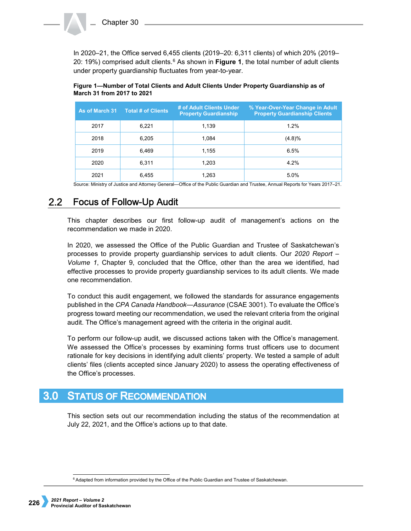In 2020–21, the Office served 6,455 clients (2019–20: 6,311 clients) of which 20% (2019– 20: 19%) comprised adult clients.[6](#page-1-0) As shown in **Figure 1**, the total number of adult clients under property guardianship fluctuates from year-to-year.

| As of March 31 | <b>Total # of Clients</b> | # of Adult Clients Under<br><b>Property Guardianship</b> | % Year-Over-Year Change in Adult<br><b>Property Guardianship Clients</b> |
|----------------|---------------------------|----------------------------------------------------------|--------------------------------------------------------------------------|
| 2017           | 6,221                     | 1.139                                                    | 1.2%                                                                     |
| 2018           | 6,205                     | 1.084                                                    | (4.8)%                                                                   |
| 2019           | 6,469                     | 1,155                                                    | 6.5%                                                                     |
| 2020           | 6,311                     | 1.203                                                    | 4.2%                                                                     |
| 2021           | 6,455                     | 1.263                                                    | 5.0%                                                                     |

# **Figure 1—Number of Total Clients and Adult Clients Under Property Guardianship as of March 31 from 2017 to 2021**

Source: Ministry of Justice and Attorney General—Office of the Public Guardian and Trustee, Annual Reports for Years 2017–21.

### $2.2<sub>2</sub>$ **Focus of Follow-Up Audit**

This chapter describes our first follow-up audit of management's actions on the recommendation we made in 2020.

In 2020, we assessed the Office of the Public Guardian and Trustee of Saskatchewan's processes to provide property guardianship services to adult clients. Our *2020 Report – Volume 1*, Chapter 9, concluded that the Office, other than the area we identified, had effective processes to provide property guardianship services to its adult clients. We made one recommendation.

To conduct this audit engagement, we followed the standards for assurance engagements published in the *CPA Canada Handbook—Assurance* (CSAE 3001). To evaluate the Office's progress toward meeting our recommendation, we used the relevant criteria from the original audit. The Office's management agreed with the criteria in the original audit.

To perform our follow-up audit, we discussed actions taken with the Office's management. We assessed the Office's processes by examining forms trust officers use to document rationale for key decisions in identifying adult clients' property. We tested a sample of adult clients' files (clients accepted since January 2020) to assess the operating effectiveness of the Office's processes.

## $3.0<sub>2</sub>$ **STATUS OF RECOMMENDATION**

This section sets out our recommendation including the status of the recommendation at July 22, 2021, and the Office's actions up to that date.

<span id="page-1-0"></span><sup>&</sup>lt;sup>6</sup> Adapted from information provided by the Office of the Public Guardian and Trustee of Saskatchewan.